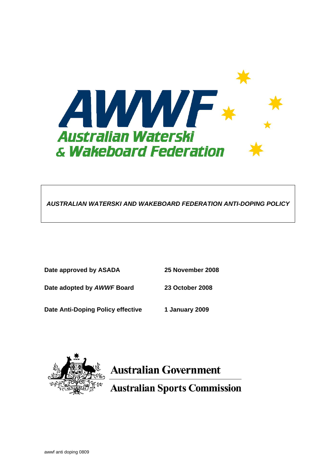

*AUSTRALIAN WATERSKI AND WAKEBOARD FEDERATION ANTI-DOPING POLICY* 

| Date approved by ASADA            | 25 November 2008 |
|-----------------------------------|------------------|
| Date adopted by AWWF Board        | 23 October 2008  |
| Date Anti-Doping Policy effective | 1 January 2009   |



# **Australian Government**

**Australian Sports Commission**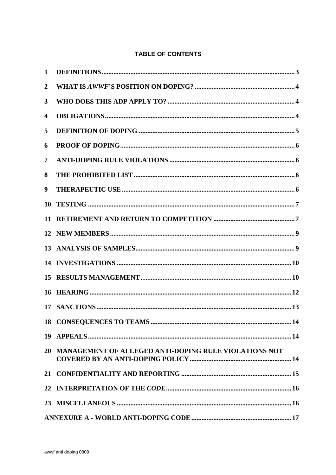## **TABLE OF CONTENTS**

| 1                |                                                          |
|------------------|----------------------------------------------------------|
| $\boldsymbol{2}$ |                                                          |
| $\mathbf{3}$     |                                                          |
| 4                |                                                          |
| 5                |                                                          |
| 6                |                                                          |
| 7                |                                                          |
| 8                |                                                          |
| 9                |                                                          |
| 10               |                                                          |
| 11               |                                                          |
|                  |                                                          |
|                  |                                                          |
|                  |                                                          |
| 15               |                                                          |
| 16               |                                                          |
|                  |                                                          |
|                  |                                                          |
|                  |                                                          |
|                  | 20 MANAGEMENT OF ALLEGED ANTI-DOPING RULE VIOLATIONS NOT |
|                  |                                                          |
|                  |                                                          |
|                  |                                                          |
|                  |                                                          |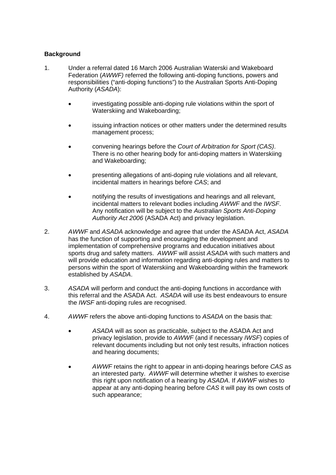## **Background**

- 1. Under a referral dated 16 March 2006 Australian Waterski and Wakeboard Federation (*AWWF)* referred the following anti-doping functions, powers and responsibilities ("anti-doping functions") to the Australian Sports Anti-Doping Authority (*ASADA*):
	- investigating possible anti-doping rule violations within the sport of Waterskiing and Wakeboarding;
	- issuing infraction notices or other matters under the determined results management process;
	- convening hearings before the *Court of Arbitration for Sport (CAS)*. There is no other hearing body for anti-doping matters in Waterskiing and Wakeboarding;
	- presenting allegations of anti-doping rule violations and all relevant, incidental matters in hearings before *CAS*; and
	- notifying the results of investigations and hearings and all relevant, incidental matters to relevant bodies including *AWWF* and the *IWSF*. Any notification will be subject to the *Australian Sports Anti-Doping Authority Act 2006* (ASADA Act) and privacy legislation.
- 2. *AWWF* and *ASADA* acknowledge and agree that under the ASADA Act, *ASADA* has the function of supporting and encouraging the development and implementation of comprehensive programs and education initiatives about sports drug and safety matters. *AWWF* will assist *ASADA* with such matters and will provide education and information regarding anti-doping rules and matters to persons within the sport of Waterskiing and Wakeboarding within the framework established by *ASADA*.
- 3. *ASADA* will perform and conduct the anti-doping functions in accordance with this referral and the ASADA Act. *ASADA* will use its best endeavours to ensure the *IWSF* anti-doping rules are recognised.
- 4. *AWWF* refers the above anti-doping functions to *ASADA* on the basis that:
	- *ASADA* will as soon as practicable, subject to the ASADA Act and privacy legislation, provide to *AWWF* (and if necessary *IWSF*) copies of relevant documents including but not only test results, infraction notices and hearing documents;
	- *AWWF* retains the right to appear in anti-doping hearings before *CAS* as an interested party. *AWWF* will determine whether it wishes to exercise this right upon notification of a hearing by *ASADA*. If *AWWF* wishes to appear at any anti-doping hearing before *CAS* it will pay its own costs of such appearance;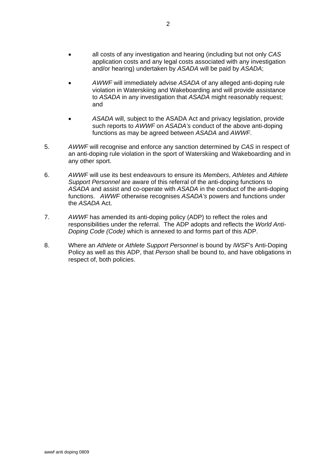- all costs of any investigation and hearing (including but not only *CAS* application costs and any legal costs associated with any investigation and/or hearing) undertaken by *ASADA* will be paid by *ASADA*;
- *AWWF* will immediately advise *ASADA* of any alleged anti-doping rule violation in Waterskiing and Wakeboarding and will provide assistance to *ASADA* in any investigation that *ASADA* might reasonably request; and
- *ASADA* will, subject to the ASADA Act and privacy legislation, provide such reports to *AWWF* on *ASADA's* conduct of the above anti-doping functions as may be agreed between *ASADA* and *AWWF*.
- 5. *AWWF* will recognise and enforce any sanction determined by *CAS* in respect of an anti-doping rule violation in the sport of Waterskiing and Wakeboarding and in any other sport.
- 6. *AWWF* will use its best endeavours to ensure its *Members*, *Athletes* and *Athlete Support Personnel* are aware of this referral of the anti-doping functions to *ASADA* and assist and co-operate with *ASADA* in the conduct of the anti-doping functions. *AWWF* otherwise recognises *ASADA's* powers and functions under the *ASADA* Act.
- 7. *AWWF* has amended its anti-doping policy (ADP) to reflect the roles and responsibilities under the referral. The ADP adopts and reflects the *World Anti-Doping Code (Code)* which is annexed to and forms part of this ADP.
- 8. Where an *Athlete* or *Athlete Support Personnel* is bound by *IWSF*'s Anti-Doping Policy as well as this ADP, that *Person* shall be bound to, and have obligations in respect of, both policies.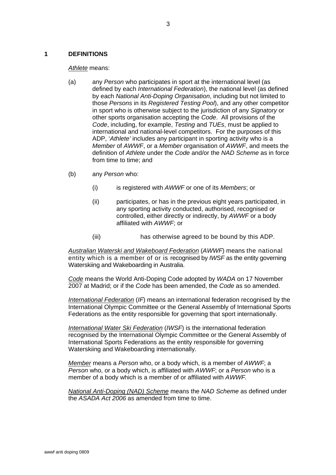#### <span id="page-4-0"></span>**1 DEFINITIONS**

*Athlete* means:

- (a) any *Person* who participates in sport at the international level (as defined by each *International Federation*), the national level (as defined by each *National Anti-Doping Organisation*, including but not limited to those *Persons* in its *Registered Testing Pool*), and any other competitor in sport who is otherwise subject to the jurisdiction of any *Signatory* or other sports organisation accepting the *Code*. All provisions of the *Code*, including, for example, *Testing* and *TUEs*, must be applied to international and national-level competitors. For the purposes of this ADP, '*Athlete'* includes any participant in sporting activity who is a *Member* of *AWWF*, or a *Member* organisation of *AWWF*, and meets the definition of *Athlete* under the *Code* and/or the *NAD Scheme* as in force from time to time; and
- (b) any *Person* who:
	- (i) is registered with *AWWF* or one of its *Members*; or
	- (ii) participates, or has in the previous eight years participated, in any sporting activity conducted, authorised, recognised or controlled, either directly or indirectly, by *AWWF* or a body affiliated with *AWWF*; or
	- (iii) has otherwise agreed to be bound by this ADP.

*Australian Waterski and Wakeboard Federation* (*AWWF*) means the national entity which is a member of or is recognised by *IWSF* as the entity governing Waterskiing and Wakeboarding in Australia.

*Code* means the World Anti-Doping Code adopted by *WADA* on 17 November 2007 at Madrid; or if the *Code* has been amended, the *Code* as so amended.

*International Federation* (*IF*) means an international federation recognised by the International Olympic Committee or the General Assembly of International Sports Federations as the entity responsible for governing that sport internationally.

*International Water Ski Federation* (*IWSF*) is the international federation recognised by the International Olympic Committee or the General Assembly of International Sports Federations as the entity responsible for governing Waterskiing and Wakeboarding internationally.

*Member* means a *Person* who, or a body which, is a member of *AWWF*; a *Person* who, or a body which, is affiliated with *AWWF*; or a *Person* who is a member of a body which is a member of or affiliated with *AWWF.* 

*National Anti-Doping (NAD) Scheme* means the *NAD Scheme* as defined under the *ASADA Act 2006* as amended from time to time.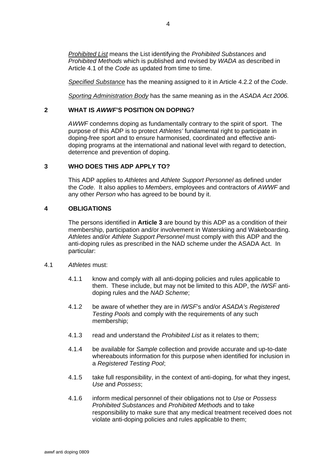<span id="page-5-0"></span>*Prohibited List* means the List identifying the *Prohibited Substances* and *Prohibited Methods* which is published and revised by *WADA* as described in Article 4.1 of the *Code* as updated from time to time.

*Specified Substance* has the meaning assigned to it in Article 4.2.2 of the *Code*.

*Sporting Administration Body* has the same meaning as in the *ASADA Act 2006.* 

#### **2 WHAT IS** *AWWF***'S POSITION ON DOPING?**

*AWWF* condemns doping as fundamentally contrary to the spirit of sport. The purpose of this ADP is to protect *Athletes'* fundamental right to participate in doping-free sport and to ensure harmonised, coordinated and effective antidoping programs at the international and national level with regard to detection, deterrence and prevention of doping.

#### **3 WHO DOES THIS ADP APPLY TO?**

This ADP applies to *Athletes* and *Athlete Support Personnel* as defined under the *Code*. It also applies to *Members*, employees and contractors of *AWWF* and any other *Person* who has agreed to be bound by it.

## **4 OBLIGATIONS**

The persons identified in **Article 3** are bound by this ADP as a condition of their membership, participation and/or involvement in Waterskiing and Wakeboarding. *Athletes* and/or *Athlete Support Personnel* must comply with this ADP and the anti-doping rules as prescribed in the NAD scheme under the ASADA Act. In particular:

- 4.1 *Athletes* must:
	- 4.1.1 know and comply with all anti-doping policies and rules applicable to them. These include, but may not be limited to this ADP, the *IWSF* antidoping rules and the *NAD Scheme*;
	- 4.1.2 be aware of whether they are in *IWSF*'s and/or *ASADA's Registered Testing Pools* and comply with the requirements of any such membership;
	- 4.1.3 read and understand the *Prohibited List* as it relates to them;
	- 4.1.4 be available for *Sample* collection and provide accurate and up-to-date whereabouts information for this purpose when identified for inclusion in a *Registered Testing Pool*;
	- 4.1.5 take full responsibility, in the context of anti-doping, for what they ingest, *Use* and *Possess*;
	- 4.1.6 inform medical personnel of their obligations not to *Use* or *Possess Prohibited Substances* and *Prohibited Method*s and to take responsibility to make sure that any medical treatment received does not violate anti-doping policies and rules applicable to them;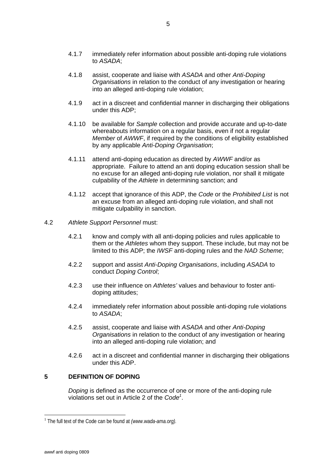- <span id="page-6-0"></span>4.1.7 immediately refer information about possible anti-doping rule violations to *ASADA*;
- 4.1.8 assist, cooperate and liaise with *ASADA* and other *Anti-Doping Organisations* in relation to the conduct of any investigation or hearing into an alleged anti-doping rule violation;
- 4.1.9 act in a discreet and confidential manner in discharging their obligations under this ADP;
- 4.1.10 be available for *Sample* collection and provide accurate and up-to-date whereabouts information on a regular basis, even if not a regular *Member* of *AWWF*, if required by the conditions of eligibility established by any applicable *Anti-Doping Organisation*;
- 4.1.11 attend anti-doping education as directed by *AWWF* and/or as appropriate. Failure to attend an anti doping education session shall be no excuse for an alleged anti-doping rule violation, nor shall it mitigate culpability of the *Athlete* in determining sanction; and
- 4.1.12 accept that ignorance of this ADP, the *Code* or the *Prohibited List* is not an excuse from an alleged anti-doping rule violation, and shall not mitigate culpability in sanction.
- 4.2 *Athlete Support Personnel* must:
	- 4.2.1 know and comply with all anti-doping policies and rules applicable to them or the *Athletes* whom they support. These include, but may not be limited to this ADP; the *IWSF* anti-doping rules and the *NAD Scheme*;
	- 4.2.2 support and assist *Anti-Doping Organisations*, including *ASADA* to conduct *Doping Control*;
	- 4.2.3 use their influence on *Athletes'* values and behaviour to foster antidoping attitudes;
	- 4.2.4 immediately refer information about possible anti-doping rule violations to *ASADA*;
	- 4.2.5 assist, cooperate and liaise with *ASADA* and other *Anti-Doping Organisations* in relation to the conduct of any investigation or hearing into an alleged anti-doping rule violation; and
	- 4.2.6 act in a discreet and confidential manner in discharging their obligations under this ADP.

### **5 DEFINITION OF DOPING**

*Doping* is defined as the occurrence of one or more of the anti-doping rule violations set out in Article 2 of the *Code[1](#page-6-1)* .

 $\overline{a}$ 

<span id="page-6-1"></span><sup>&</sup>lt;sup>1</sup> The full text of the Code can be found at *(www.wada-ama.org)*.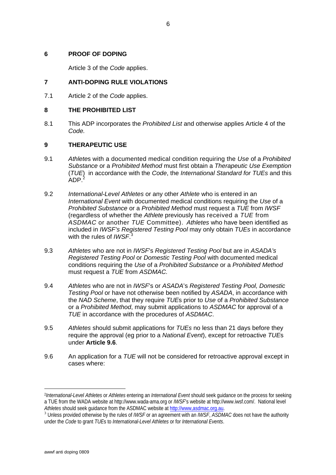#### <span id="page-7-0"></span>**6 PROOF OF DOPING**

Article 3 of the *Code* applies.

## **7 ANTI-DOPING RULE VIOLATIONS**

7.1 Article 2 of the *Code* applies.

## **8 THE PROHIBITED LIST**

8.1 This ADP incorporates the *Prohibited List* and otherwise applies Article 4 of the *Code.* 

## **9 THERAPEUTIC USE**

- 9.1 *Athlete*s with a documented medical condition requiring the *Use* of a *Prohibited Substance* or a *Prohibited Method* must first obtain a *Therapeutic Use Exemption* (*TUE*) in accordance with the *Code*, the *International Standard for TUEs* and this  $ADP<sup>2</sup>$  $ADP<sup>2</sup>$  $ADP<sup>2</sup>$
- 9.2 *International-Level Athletes* or any other *Athlete* who is entered in an *International Event* with documented medical conditions requiring the *Use* of a *Prohibited Substance* or a *Prohibited Method* must request a *TUE* from *IWSF* (regardless of whether the *Athlete* previously has received a *TUE* from *ASDMAC* or another *TUE* Committee). *Athletes* who have been identified as included in *IWSF's Registered Testing Pool* may only obtain *TUEs* in accordance with the rules of *IWSF*. [3](#page-7-2)
- 9.3 *Athletes* who are not in *IWSF*'s *Registered Testing Pool* but are in *ASADA's Registered Testing Pool* or *Domestic Testing Pool* with documented medical conditions requiring the *Use* of a *Prohibited Substance* or a *Prohibited Method* must request a *TUE* from *ASDMAC.*
- 9.4 *Athletes* who are not in *IWSF*'s or *ASADA*'s *Registered Testing Pool, Domestic Testing Pool* or have not otherwise been notified by *ASADA*, in accordance with the *NAD Scheme*, that they require *TUE*s prior to *Use* of a *Prohibited Substance* or a *Prohibited Method*, may submit applications to *ASDMAC* for approval of a *TUE* in accordance with the procedures of *ASDMAC*.
- 9.5 *Athletes* should submit applications for *TUEs* no less than 21 days before they require the approval (eg prior to a *National Event*), except for retroactive *TUE*s under **Article 9.6**.
- 9.6 An application for a *TUE* will not be considered for retroactive approval except in cases where:

 $\overline{a}$ 

<span id="page-7-1"></span><sup>2</sup>*International-Level Athletes* or *Athletes* entering an *International Event* should seek guidance on the process for seeking a TUE from the WADA website at http://www.wada-ama.org or *IWSF*'s website at http://www.iwsf.com/. National level *Athletes* should seek guidance from the ASDMAC website at [http://www,asdmac.org.au.](http://www,asdmac.org.au/)

<span id="page-7-2"></span><sup>3</sup> Unless provided otherwise by the rules of *IWSF* or an agreement with an *IWSF*, *ASDMAC* does not have the authority under the *Code* to grant *TUE*s to *International-Level Athletes* or for *International Events*.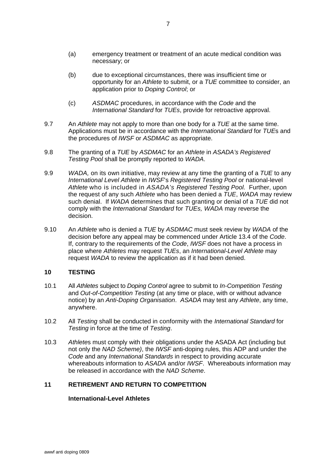- <span id="page-8-0"></span>(a) emergency treatment or treatment of an acute medical condition was necessary; or
- (b) due to exceptional circumstances, there was insufficient time or opportunity for an *Athlete* to submit, or a *TUE* committee to consider, an application prior to *Doping Control*; or
- (c) *ASDMAC* procedures, in accordance with the *Code* and the *International Standard* for *TUEs*, provide for retroactive approval.
- 9.7 An *Athlete* may not apply to more than one body for a *TUE* at the same time. Applications must be in accordance with the *International Standard* for *TUE*s and the procedures of *IWSF* or *ASDMAC* as appropriate.
- 9.8 The granting of a *TUE* by *ASDMAC* for an *Athlete* in *ASADA's Registered Testing Pool* shall be promptly reported to *WADA*.
- 9.9 *WADA,* on its own initiative, may review at any time the granting of a *TUE* to any *International Level Athlete* in *IWSF*'s *Registered Testing Pool* or national-level *Athlete* who is included in *ASADA's Registered Testing Pool.* Further, upon the request of any such *Athlete* who has been denied a *TUE*, *WADA* may review such denial. If *WADA* determines that such granting or denial of a *TUE* did not comply with the *International Standard* for *TUEs, WADA* may reverse the decision.
- 9.10 An *Athlete* who is denied a *TUE* by *ASDMAC* must seek review by *WADA* of the decision before any appeal may be commenced under Article 13.4 of the *Code*. If, contrary to the requirements of the *Code*, *IWSF* does not have a process in place where *Athletes* may request *TUEs*, an *International-Level Athlete* may request *WADA* to review the application as if it had been denied.

## **10 TESTING**

- 10.1 All *Athletes* subject to *Doping Control* agree to submit to *In-Competition Testing* and *Out-of-Competition Testing* (at any time or place, with or without advance notice) by an *Anti-Doping Organisation*. *ASADA* may test any *Athlete*, any time, anywhere.
- 10.2 All *Testing* shall be conducted in conformity with the *International Standard* for *Testing* in force at the time of *Testing*.
- 10.3 *Athlete*s must comply with their obligations under the ASADA Act (including but not only the *NAD Scheme)*, the *IWSF* anti-doping rules, this ADP and under the *Code* and any *International Standards* in respect to providing accurate whereabouts information to *ASADA* and/or *IWSF*. Whereabouts information may be released in accordance with the *NAD Scheme*.

## **11 RETIREMENT AND RETURN TO COMPETITION**

#### **International-Level Athletes**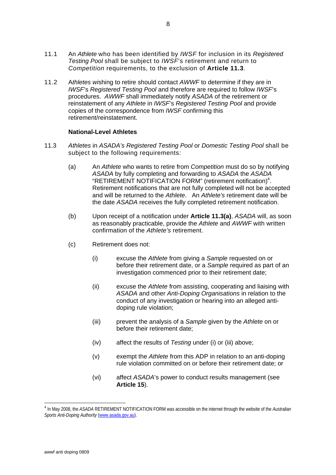- 11.1 An *Athlete* who has been identified by *IWSF* for inclusion in its *Registered Testing Pool* shall be subject to *IWSF*'s retirement and return to *Competition* requirements, to the exclusion of **Article 11.3**.
- 11.2 A*thletes wi*shing to retire should contact *AWWF* to determine if they are in *IWSF*'s *Registered Testing Pool* and therefore are required to follow *IWSF*'s procedures. *AWWF* shall immediately notify *ASADA* of the retirement or reinstatement of any *Athlete* in *IWSF*'s *Registered Testing Pool* and provide copies of the correspondence from *IWSF* confirming this retirement/reinstatement.

#### **National-Level Athletes**

- 11.3 *Athletes* in *ASADA's Registered Testing Pool* or *Domestic Testing Pool* shall be subject to the following requirements:
	- (a) An *Athlete* who wants to retire from *Competition* must do so by notifying *ASADA* by fully completing and forwarding to *ASADA* the *ASADA* "RETIREMENT NOTIFICATION FORM" (retirement notification)<sup>[4](#page-9-0)</sup>. Retirement notifications that are not fully completed will not be accepted and will be returned to the *Athlete*. An *Athlete's* retirement date will be the date *ASADA* receives the fully completed retirement notification.
	- (b) Upon receipt of a notification under **Article 11.3(a)**, *ASADA* will, as soon as reasonably practicable, provide the *Athlete* and *AWWF* with written confirmation of the *Athlete's* retirement.
	- (c) Retirement does not:
		- (i) excuse the *Athlete* from giving a *Sample* requested on or before their retirement date, or a *Sample* required as part of an investigation commenced prior to their retirement date;
		- (ii) excuse the *Athlete* from assisting, cooperating and liaising with *ASADA* and other *Anti-Doping Organisations* in relation to the conduct of any investigation or hearing into an alleged antidoping rule violation;
		- (iii) prevent the analysis of a *Sample* given by the *Athlete* on or before their retirement date;
		- (iv) affect the results of *Testing* under (i) or (iii) above;
		- (v) exempt the *Athlete* from this ADP in relation to an anti-doping rule violation committed on or before their retirement date; or
		- (vi) affect *ASADA*'s power to conduct results management (see **Article 15**).

<span id="page-9-0"></span> 4 In May 2008, the *ASADA* RETIREMENT NOTIFICATION FORM was accessible on the internet through the website of the *Australian Sports Anti-Doping Authority* ([www.asada.gov.au](http://www.asada.gov.au/)).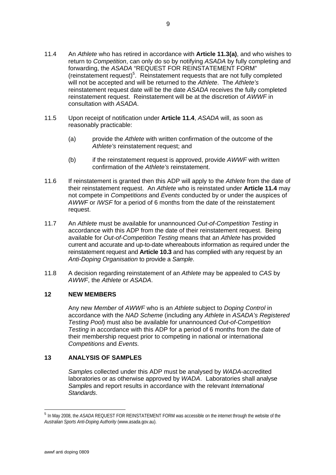- <span id="page-10-0"></span>11.4 An *Athlete* who has retired in accordance with **Article 11.3(a)**, and who wishes to return to *Competition*, can only do so by notifying *ASADA* by fully completing and forwarding, the *ASADA* "REQUEST FOR REINSTATEMENT FORM" (reinstatement request)<sup>5</sup>[.](#page-10-1) Reinstatement requests that are not fully completed will not be accepted and will be returned to the *Athlete*. The *Athlete's* reinstatement request date will be the date *ASADA* receives the fully completed reinstatement request. Reinstatement will be at the discretion of *AWWF* in consultation with *ASADA*.
- 11.5 Upon receipt of notification under **Article 11.4**, *ASADA* will, as soon as reasonably practicable:
	- (a) provide the *Athlete* with written confirmation of the outcome of the *Athlete's* reinstatement request; and
	- (b) if the reinstatement request is approved, provide *AWWF* with written confirmation of the *Athlete's* reinstatement.
- 11.6 If reinstatement is granted then this ADP will apply to the *Athlete* from the date of their reinstatement request. An *Athlete* who is reinstated under **Article 11.4** may not compete in *Competitions* and *Events* conducted by or under the auspices of *AWWF* or *IWSF* for a period of 6 months from the date of the reinstatement request.
- 11.7 An *Athlete* must be available for unannounced *Out-of-Competition Testing* in accordance with this ADP from the date of their reinstatement request. Being available for *Out-of-Competition Testing* means that an *Athlete* has provided current and accurate and up-to-date whereabouts information as required under the reinstatement request and **Article 10.3** and has complied with any request by an *Anti-Doping Organisation* to provide a *Sample*.
- 11.8 A decision regarding reinstatement of an *Athlete* may be appealed to *CAS* by *AWWF*, the *Athlete* or *ASADA*.

#### **12 NEW MEMBERS**

Any new *Member* of *AWWF* who is an *Athlete* subject to *Doping Control* in accordance with the *NAD Scheme* (including any *Athlete* in *ASADA's Registered Testing Pool*) must also be available for unannounced *Out-of-Competition Testing* in accordance with this ADP for a period of 6 months from the date of their membership request prior to competing in national or international *Competitions* and *Events.*

#### **13 ANALYSIS OF SAMPLES**

*Sample*s collected under this ADP must be analysed by *WADA*-accredited laboratories or as otherwise approved by *WADA*. Laboratories shall analyse *Sample*s and report results in accordance with the relevant *International Standards*.

 $\overline{a}$ 

<span id="page-10-1"></span><sup>5</sup> In May 2008, the *ASADA* REQUEST FOR REINSTATEMENT FORM was accessible on the internet through the website of the *Australian Sports Anti-Doping Authority* (www.asada.gov.au).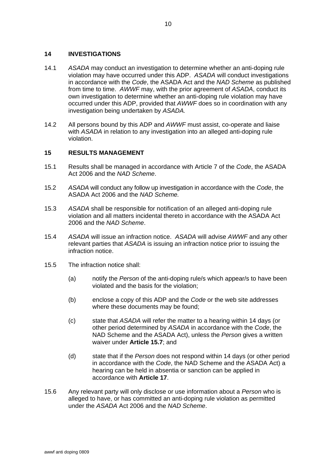#### <span id="page-11-0"></span>**14 INVESTIGATIONS**

- 14.1 *ASADA* may conduct an investigation to determine whether an anti-doping rule violation may have occurred under this ADP. *ASADA* will conduct investigations in accordance with the *Code*, the ASADA Act and the *NAD Scheme* as published from time to time. *AWWF* may, with the prior agreement of *ASADA*, conduct its own investigation to determine whether an anti-doping rule violation may have occurred under this ADP, provided that *AWWF* does so in coordination with any investigation being undertaken by *ASADA.*
- 14.2 All persons bound by this ADP and *AWWF* must assist, co-operate and liaise with *ASADA* in relation to any investigation into an alleged anti-doping rule violation.

#### **15 RESULTS MANAGEMENT**

- 15.1 Results shall be managed in accordance with Article 7 of the *Code*, the ASADA Act 2006 and the *NAD Scheme*.
- 15.2 *ASADA* will conduct any follow up investigation in accordance with the *Code*, the ASADA Act 2006 and the *NAD Scheme.*
- 15.3 *ASADA* shall be responsible for notification of an alleged anti-doping rule violation and all matters incidental thereto in accordance with the ASADA Act 2006 and the *NAD Scheme*.
- 15.4 *ASADA* will issue an infraction notice. *ASADA* will advise *AWWF* and any other relevant parties that *ASADA* is issuing an infraction notice prior to issuing the infraction notice.
- 15.5 The infraction notice shall:
	- (a) notify the *Person* of the anti-doping rule/s which appear/s to have been violated and the basis for the violation;
	- (b) enclose a copy of this ADP and the *Code* or the web site addresses where these documents may be found;
	- (c) state that *ASADA* will refer the matter to a hearing within 14 days (or other period determined by *ASADA* in accordance with the *Code*, the NAD Scheme and the ASADA Act), unless the *Person* gives a written waiver under **Article 15.7**; and
	- (d) state that if the *Person* does not respond within 14 days (or other period in accordance with the *Code*, the NAD Scheme and the ASADA Act) a hearing can be held in absentia or sanction can be applied in accordance with **Article 17**.
- 15.6 Any relevant party will only disclose or use information about a *Person* who is alleged to have, or has committed an anti-doping rule violation as permitted under the *ASADA* Act 2006 and the *NAD Scheme*.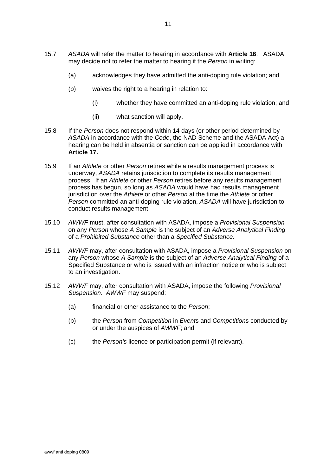- 15.7 *ASADA* will refer the matter to hearing in accordance with **Article 16**. ASADA may decide not to refer the matter to hearing if the *Person* in writing:
	- (a) acknowledges they have admitted the anti-doping rule violation; and
	- (b) waives the right to a hearing in relation to:
		- (i) whether they have committed an anti-doping rule violation; and
		- (ii) what sanction will apply.
- 15.8 If the *Person* does not respond within 14 days (or other period determined by *ASADA* in accordance with the *Code*, the NAD Scheme and the ASADA Act) a hearing can be held in absentia or sanction can be applied in accordance with **Article 17.**
- 15.9 If an *Athlete* or other *Person* retires while a results management process is underway, *ASADA* retains jurisdiction to complete its results management process. If an *Athlete* or other *Person* retires before any results management process has begun, so long as *ASADA* would have had results management jurisdiction over the *Athlete* or other *Person* at the time the *Athlete* or other *Person* committed an anti-doping rule violation, *ASADA* will have jurisdiction to conduct results management.
- 15.10 *AWWF* must, after consultation with ASADA, impose a *Provisional Suspension* on any *Person* whose *A Sample* is the subject of an *Adverse Analytical Finding* of a *Prohibited Substance* other than a *Specified Substance.*
- 15.11 *AWWF* may, after consultation with ASADA, impose a *Provisional Suspension* on any *Person* whose *A Sample* is the subject of an *Adverse Analytical Finding* of a Specified Substance or who is issued with an infraction notice or who is subject to an investigation.
- 15.12 *AWWF* may, after consultation with ASADA, impose the following *Provisional Suspension*. *AWWF* may suspend:
	- (a) financial or other assistance to the *Person*;
	- (b) the *Person* from *Competition* in *Event*s and *Competition*s conducted by or under the auspices of *AWWF*; and
	- (c) the *Person's* licence or participation permit (if relevant).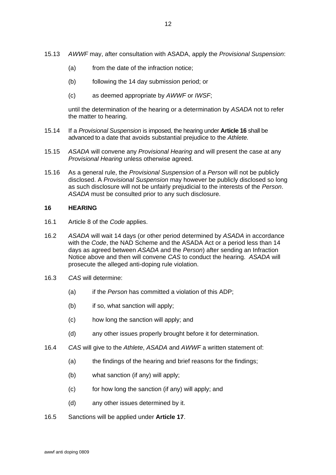- <span id="page-13-0"></span>15.13 *AWWF* may, after consultation with ASADA, apply the *Provisional Suspension*:
	- (a) from the date of the infraction notice;
	- (b) following the 14 day submission period; or
	- (c) as deemed appropriate by *AWWF* or *IWSF*;

until the determination of the hearing or a determination by *ASADA* not to refer the matter to hearing.

- 15.14 If a *Provisional Suspension* is imposed, the hearing under **Article 16** shall be advanced to a date that avoids substantial prejudice to the *Athlete.*
- 15.15 *ASADA* will convene any *Provisional Hearing* and will present the case at any *Provisional Hearing* unless otherwise agreed.
- 15.16 As a general rule, the *Provisional Suspension* of a *Person* will not be publicly disclosed. A *Provisional Suspension* may however be publicly disclosed so long as such disclosure will not be unfairly prejudicial to the interests of the *Person*. *ASADA* must be consulted prior to any such disclosure.

#### **16 HEARING**

- 16.1 Article 8 of the *Code* applies.
- 16.2 *ASADA* will wait 14 days (or other period determined by *ASADA* in accordance with the *Code*, the NAD Scheme and the ASADA Act or a period less than 14 days as agreed between *ASADA* and the *Person*) after sending an Infraction Notice above and then will convene *CAS* to conduct the hearing. *ASADA* will prosecute the alleged anti-doping rule violation.
- 16.3 *CAS* will determine:
	- (a) if the *Person* has committed a violation of this ADP;
	- (b) if so, what sanction will apply;
	- (c) how long the sanction will apply; and
	- (d) any other issues properly brought before it for determination.
- 16.4 *CAS* will give to the *Athlete*, *ASADA* and *AWWF* a written statement of:
	- (a) the findings of the hearing and brief reasons for the findings:
	- (b) what sanction (if any) will apply;
	- (c) for how long the sanction (if any) will apply; and
	- (d) any other issues determined by it.
- 16.5 Sanctions will be applied under **Article 17**.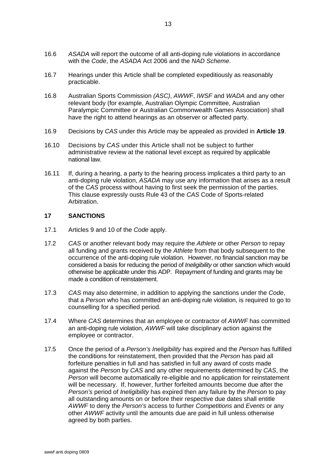- <span id="page-14-0"></span>16.6 *ASADA* will report the outcome of all anti-doping rule violations in accordance with the *Code*, the *ASADA* Act 2006 and the *NAD Scheme*.
- 16.7 Hearings under this Article shall be completed expeditiously as reasonably practicable.
- 16.8 Australian Sports Commission *(ASC)*, *AWWF*, *IWSF* and *WADA* and any other relevant body (for example, Australian Olympic Committee, Australian Paralympic Committee or Australian Commonwealth Games Association) shall have the right to attend hearings as an observer or affected party.
- 16.9 Decisions by *CAS* under this Article may be appealed as provided in **Article 19**.
- 16.10 Decisions by *CAS* under this Article shall not be subject to further administrative review at the national level except as required by applicable national law.
- 16.11 If, during a hearing, a party to the hearing process implicates a third party to an anti-doping rule violation, *ASADA* may use any information that arises as a result of the *CAS* process without having to first seek the permission of the parties. This clause expressly ousts Rule 43 of the *CAS* Code of Sports-related Arbitration.

#### **17 SANCTIONS**

- 17.1 Articles 9 and 10 of the *Code* apply.
- 17.2 *CAS* or another relevant body may require the *Athlete* or other *Person* to repay all funding and grants received by the *Athlete* from that body subsequent to the occurrence of the anti-doping rule violation. However, no financial sanction may be considered a basis for reducing the period of *Ineligibility* or other sanction which would otherwise be applicable under this ADP. Repayment of funding and grants may be made a condition of reinstatement.
- 17.3 *CAS* may also determine, in addition to applying the sanctions under the *Code*, that a *Person* who has committed an anti-doping rule violation, is required to go to counselling for a specified period.
- 17.4 Where *CAS* determines that an employee or contractor of *AWWF* has committed an anti-doping rule violation, *AWWF* will take disciplinary action against the employee or contractor.
- 17.5 Once the period of a *Person's Ineligibility* has expired and the *Person* has fulfilled the conditions for reinstatement, then provided that the *Person* has paid all forfeiture penalties in full and has satisfied in full any award of costs made against the *Person* by *CAS* and any other requirements determined by *CAS*, the *Person* will become automatically re-eligible and no application for reinstatement will be necessary. If, however, further forfeited amounts become due after the *Person's* period of *Ineligibility* has expired then any failure by the *Person* to pay all outstanding amounts on or before their respective due dates shall entitle *AWWF* to deny the *Person's* access to further *Competitions* and *Events* or any other *AWWF* activity until the amounts due are paid in full unless otherwise agreed by both parties.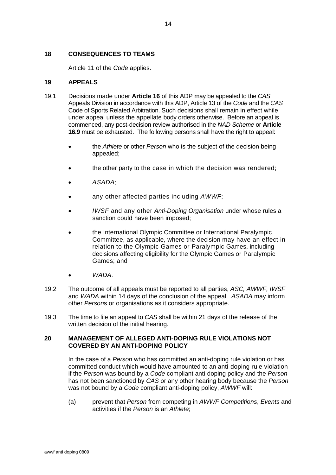## <span id="page-15-0"></span>**18 CONSEQUENCES TO TEAMS**

Article 11 of the *Code* applies.

## **19 APPEALS**

- 19.1 Decisions made under **Article 16** of this ADP may be appealed to the *CAS* Appeals Division in accordance with this ADP, Article 13 of the *Code* and the *CAS* Code of Sports Related Arbitration. Such decisions shall remain in effect while under appeal unless the appellate body orders otherwise. Before an appeal is commenced, any post-decision review authorised in the *NAD Scheme* or **Article 16.9** must be exhausted. The following persons shall have the right to appeal:
	- the *Athlete* or other *Person* who is the subject of the decision being appealed;
	- the other party to the case in which the decision was rendered;
	- *ASADA*;
	- any other affected parties including *AWWF*;
	- *IWSF* and any other *Anti-Doping Organisation* under whose rules a sanction could have been imposed;
	- the International Olympic Committee or International Paralympic Committee, as applicable, where the decision may have an effect in relation to the Olympic Games or Paralympic Games, including decisions affecting eligibility for the Olympic Games or Paralympic Games; and
	- *WADA*.
- 19.2 The outcome of all appeals must be reported to all parties, *ASC, AWWF, IWSF*  and *WADA* within 14 days of the conclusion of the appeal. *ASADA* may inform other *Person*s or organisations as it considers appropriate.
- 19.3 The time to file an appeal to *CAS* shall be within 21 days of the release of the written decision of the initial hearing.

## **20 MANAGEMENT OF ALLEGED ANTI-DOPING RULE VIOLATIONS NOT COVERED BY AN ANTI-DOPING POLICY**

In the case of a *Person* who has committed an anti-doping rule violation or has committed conduct which would have amounted to an anti-doping rule violation if the *Person* was bound by a *Code* compliant anti-doping policy and the *Person* has not been sanctioned by *CAS* or any other hearing body because the *Person* was not bound by a *Code* compliant anti-doping policy, *AWWF* will:

(a) prevent that *Person* from competing in *AWWF Competitions*, *Events* and activities if the *Person* is an *Athlete*;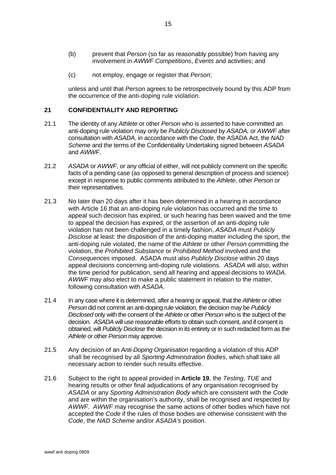- <span id="page-16-0"></span>(b) prevent that *Person* (so far as reasonably possible) from having any involvement in *AWWF Competitions*, *Events* and activities; and
- (c) not employ, engage or register that *Person*;

unless and until that *Person* agrees to be retrospectively bound by this ADP from the occurrence of the anti-doping rule violation.

#### **21 CONFIDENTIALITY AND REPORTING**

- 21.1 The identity of any *Athlete* or other *Person* who is asserted to have committed an anti-doping rule violation may only be *Publicly Disclosed* by *ASADA,* or *AWWF* after consultation with *ASADA*, in accordance with the *Code*, the ASADA Act, the *NAD Scheme* and the terms of the Confidentiality Undertaking signed between *ASADA*  and *AWWF*.
- 21.2 *ASADA* or *AWWF*, or any official of either, will not publicly comment on the specific facts of a pending case (as opposed to general description of process and science) except in response to public comments attributed to the *Athlete*, other *Person* or their representatives.
- 21.3 No later than 20 days after it has been determined in a hearing in accordance with Article 16 that an anti-doping rule violation has occurred and the time to appeal such decision has expired, or such hearing has been waived and the time to appeal the decision has expired, or the assertion of an anti-doping rule violation has not been challenged in a timely fashion, *ASADA* must *Publicly Disclose* at least: the disposition of the anti-doping matter including the sport, the anti-doping rule violated, the name of the *Athlete* or other *Person* committing the violation, the *Prohibited Substance* or *Prohibited Method* involved and the *Consequences* imposed. ASADA must also *Publicly Disclose* within 20 days appeal decisions concerning anti-doping rule violations. *ASADA* will also, within the time period for publication, send all hearing and appeal decisions to *WADA. AWWF* may also elect to make a public statement in relation to the matter, following consultation with *ASADA*.
- 21.4 In any case where it is determined, after a hearing or appeal, that the *Athlete* or other *Person* did not commit an anti-doping rule violation, the decision may be *Publicly Disclosed* only with the consent of the *Athlete* or other *Person* who is the subject of the decision. *ASADA* will use reasonable efforts to obtain such consent, and if consent is obtained, will *Publicly Disclose* the decision in its entirety or in such redacted form as the *Athlete* or other *Person* may approve.
- 21.5 Any decision of an *Anti-Doping Organisation* regarding a violation of this ADP shall be recognised by all *Sporting Administration Bodies*, which shall take all necessary action to render such results effective.
- 21.6 Subject to the right to appeal provided in **Article 19**, the *Testing*, *TUE* and hearing results or other final adjudications of any organisation recognised by *ASADA* or any *Sporting Administration Body* which are consistent with the *Code* and are within the organisation's authority, shall be recognised and respected by *AWWF*. *AWWF* may recognise the same actions of other bodies which have not accepted the *Code* if the rules of those bodies are otherwise consistent with the *Code*, the *NAD Scheme* and/or *ASADA's* position.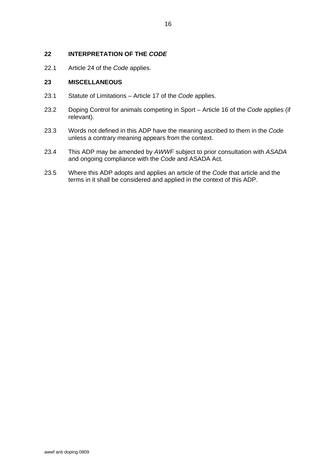## <span id="page-17-0"></span>**22 INTERPRETATION OF THE** *CODE*

22.1 Article 24 of the *Code* applies.

#### **23 MISCELLANEOUS**

- 23.1 Statute of Limitations Article 17 of the *Code* applies.
- 23.2 Doping Control for animals competing in Sport Article 16 of the *Code* applies (if relevant).
- 23.3 Words not defined in this ADP have the meaning ascribed to them in the *Code* unless a contrary meaning appears from the context.
- 23.4 This ADP may be amended by *AWWF* subject to prior consultation with *ASADA* and ongoing compliance with the *Code* and ASADA Act.
- 23.5 Where this ADP adopts and applies an article of the *Code* that article and the terms in it shall be considered and applied in the context of this ADP.